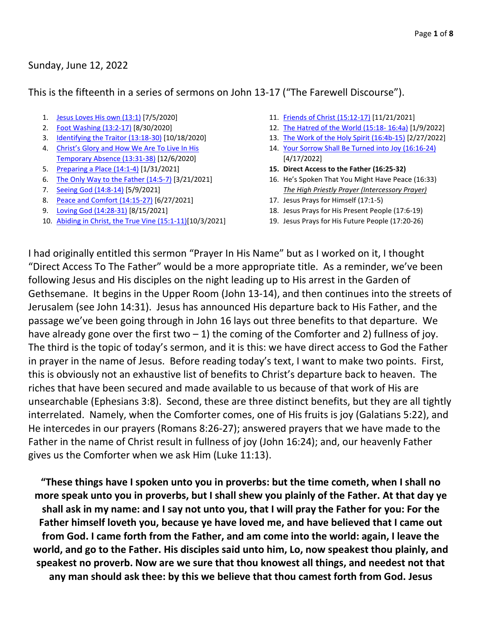### Sunday, June 12, 2022

This is the fifteenth in a series of sermons on John 13-17 ("The Farewell Discourse").

- 1. [Jesus Loves His own \(13:1\)](https://www.godhatesfags.com/sermons/outlines/Sermon_20200705.pdf) [7/5/2020]
- 2. [Foot Washing \(13:2-17\)](https://www.godhatesfags.com/sermons/outlines/Sermon_20200830_farewell-discourse-part-2-foot-washing.pdf) [8/30/2020]
- 3. [Identifying the Traitor \(13:18-30\)](https://www.godhatesfags.com/sermons/outlines/Sermon_20201018_farewell-discourse-part-3-identifying-the-traitor.pdf) [10/18/2020]
- 4. Christ's Glory and How We Are To Live In His [Temporary Absence \(13:31-38\)](https://www.godhatesfags.com/sermons/outlines/Sermon_20201206_farewell-discourse-part-4-christs-glory-and-how-we-are-to-live-in-his-temporary-absence.pdf) [12/6/2020]
- 5. [Preparing a Place \(14:1-4\)](https://www.godhatesfags.com/sermons/outlines/Sermon_20210131_farewell-discourse-part-5-preparing-a-place.pdf) [1/31/2021]
- 6. [The Only Way to the Father \(14:5-7\)](https://www.godhatesfags.com/sermons/outlines/Sermon_20210321_farewell-discourse-part-6-the-only-way-to-the-father.pdf) [3/21/2021]
- 7. [Seeing God \(14:8-14\)](https://www.godhatesfags.com/sermons/outlines/Sermon_20210509_Ben_farewell-discourse-part-7-seeing-God.pdf) [5/9/2021]
- 8. [Peace and Comfort \(14:15-27\)](https://www.godhatesfags.com/sermons/outlines/Sermon_20210627_farewell-discourse-part-8-peace-and-comfort.pdf) [6/27/2021]
- 9. [Loving God \(14:28-31\)](https://www.godhatesfags.com/sermons/outlines/Sermon_20210815_farewell-discourse-part-9-loving-god.pdf) [8/15/2021]
- 10. [Abiding in Christ, the True Vine \(15:1-11\)\[](https://www.godhatesfags.com/sermons/outlines/Sermon_20211003_farewell-discourse-part-10-abiding-in-christ-the-true-vine.pdf)10/3/2021]
- 11. [Friends of Christ \(15:12-17\)](https://www.godhatesfags.com/sermons/outlines/Sermon_20211121_farewell-discourse-part-11-friends-of-christ.pdf) [11/21/2021]
- 12. [The Hatred of the World \(15:18-](https://www.godhatesfags.com/sermons/outlines/Sermon_20220109_farewell-discourse-part-12-the-hatred-of-the-world.pdf) 16:4a) [1/9/2022]
- 13. [The Work of the Holy Spirit \(16:4b-15\)](https://www.godhatesfags.com/sermons/outlines/Sermon_20220227_farewell-discourse-part-13-the-work-of-the-spirit.pdf) [2/27/2022]
- 14. [Your Sorrow Shall Be Turned into Joy \(16:16-24\)](https://www.godhatesfags.com/sermons/outlines/Sermon_20220417_farewell-discourse-part-14-your-sorrow-shall-be-turned-into-joy.pdf) [4/17/2022]
- **15. Direct Access to the Father (16:25-32)**
- 16. He's Spoken That You Might Have Peace (16:33) *The High Priestly Prayer (Intercessory Prayer)*
- 17. Jesus Prays for Himself (17:1-5)
- 18. Jesus Prays for His Present People (17:6-19)
- 19. Jesus Prays for His Future People (17:20-26)

I had originally entitled this sermon "Prayer In His Name" but as I worked on it, I thought "Direct Access To The Father" would be a more appropriate title. As a reminder, we've been following Jesus and His disciples on the night leading up to His arrest in the Garden of Gethsemane. It begins in the Upper Room (John 13-14), and then continues into the streets of Jerusalem (see John 14:31). Jesus has announced His departure back to His Father, and the passage we've been going through in John 16 lays out three benefits to that departure. We have already gone over the first two  $-1$ ) the coming of the Comforter and 2) fullness of joy. The third is the topic of today's sermon, and it is this: we have direct access to God the Father in prayer in the name of Jesus. Before reading today's text, I want to make two points. First, this is obviously not an exhaustive list of benefits to Christ's departure back to heaven. The riches that have been secured and made available to us because of that work of His are unsearchable (Ephesians 3:8). Second, these are three distinct benefits, but they are all tightly interrelated. Namely, when the Comforter comes, one of His fruits is joy (Galatians 5:22), and He intercedes in our prayers (Romans 8:26-27); answered prayers that we have made to the Father in the name of Christ result in fullness of joy (John 16:24); and, our heavenly Father gives us the Comforter when we ask Him (Luke 11:13).

**"These things have I spoken unto you in proverbs: but the time cometh, when I shall no more speak unto you in proverbs, but I shall shew you plainly of the Father. At that day ye shall ask in my name: and I say not unto you, that I will pray the Father for you: For the Father himself loveth you, because ye have loved me, and have believed that I came out from God. I came forth from the Father, and am come into the world: again, I leave the world, and go to the Father. His disciples said unto him, Lo, now speakest thou plainly, and speakest no proverb. Now are we sure that thou knowest all things, and needest not that any man should ask thee: by this we believe that thou camest forth from God. Jesus**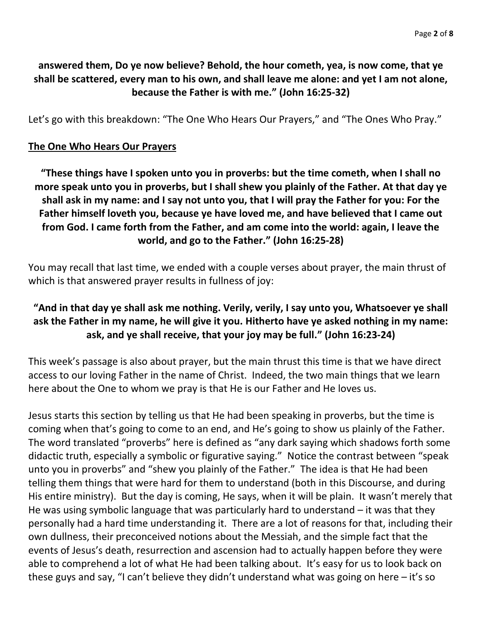## **answered them, Do ye now believe? Behold, the hour cometh, yea, is now come, that ye shall be scattered, every man to his own, and shall leave me alone: and yet I am not alone, because the Father is with me." (John 16:25-32)**

Let's go with this breakdown: "The One Who Hears Our Prayers," and "The Ones Who Pray."

#### **The One Who Hears Our Prayers**

**"These things have I spoken unto you in proverbs: but the time cometh, when I shall no more speak unto you in proverbs, but I shall shew you plainly of the Father. At that day ye shall ask in my name: and I say not unto you, that I will pray the Father for you: For the Father himself loveth you, because ye have loved me, and have believed that I came out from God. I came forth from the Father, and am come into the world: again, I leave the world, and go to the Father." (John 16:25-28)**

You may recall that last time, we ended with a couple verses about prayer, the main thrust of which is that answered prayer results in fullness of joy:

# **"And in that day ye shall ask me nothing. Verily, verily, I say unto you, Whatsoever ye shall ask the Father in my name, he will give it you. Hitherto have ye asked nothing in my name: ask, and ye shall receive, that your joy may be full." (John 16:23-24)**

This week's passage is also about prayer, but the main thrust this time is that we have direct access to our loving Father in the name of Christ. Indeed, the two main things that we learn here about the One to whom we pray is that He is our Father and He loves us.

Jesus starts this section by telling us that He had been speaking in proverbs, but the time is coming when that's going to come to an end, and He's going to show us plainly of the Father. The word translated "proverbs" here is defined as "any dark saying which shadows forth some didactic truth, especially a symbolic or figurative saying." Notice the contrast between "speak unto you in proverbs" and "shew you plainly of the Father." The idea is that He had been telling them things that were hard for them to understand (both in this Discourse, and during His entire ministry). But the day is coming, He says, when it will be plain. It wasn't merely that He was using symbolic language that was particularly hard to understand  $-$  it was that they personally had a hard time understanding it. There are a lot of reasons for that, including their own dullness, their preconceived notions about the Messiah, and the simple fact that the events of Jesus's death, resurrection and ascension had to actually happen before they were able to comprehend a lot of what He had been talking about. It's easy for us to look back on these guys and say, "I can't believe they didn't understand what was going on here – it's so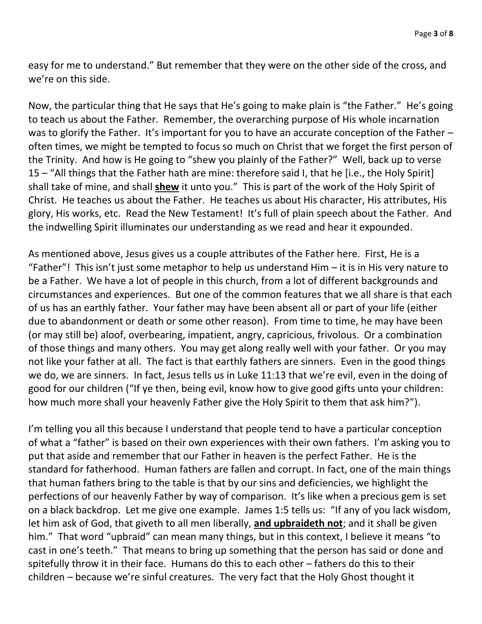easy for me to understand." But remember that they were on the other side of the cross, and we're on this side.

Now, the particular thing that He says that He's going to make plain is "the Father." He's going to teach us about the Father. Remember, the overarching purpose of His whole incarnation was to glorify the Father. It's important for you to have an accurate conception of the Father – often times, we might be tempted to focus so much on Christ that we forget the first person of the Trinity. And how is He going to "shew you plainly of the Father?" Well, back up to verse 15 – "All things that the Father hath are mine: therefore said I, that he [i.e., the Holy Spirit] shall take of mine, and shall **shew** it unto you." This is part of the work of the Holy Spirit of Christ. He teaches us about the Father. He teaches us about His character, His attributes, His glory, His works, etc. Read the New Testament! It's full of plain speech about the Father. And the indwelling Spirit illuminates our understanding as we read and hear it expounded.

As mentioned above, Jesus gives us a couple attributes of the Father here. First, He is a "Father"! This isn't just some metaphor to help us understand  $\text{Him} - \text{it}$  is in His very nature to be a Father. We have a lot of people in this church, from a lot of different backgrounds and circumstances and experiences. But one of the common features that we all share is that each of us has an earthly father. Your father may have been absent all or part of your life (either due to abandonment or death or some other reason). From time to time, he may have been (or may still be) aloof, overbearing, impatient, angry, capricious, frivolous. Or a combination of those things and many others. You may get along really well with your father. Or you may not like your father at all. The fact is that earthly fathers are sinners. Even in the good things we do, we are sinners. In fact, Jesus tells us in Luke 11:13 that we're evil, even in the doing of good for our children ("If ye then, being evil, know how to give good gifts unto your children: how much more shall your heavenly Father give the Holy Spirit to them that ask him?").

I'm telling you all this because I understand that people tend to have a particular conception of what a "father" is based on their own experiences with their own fathers. I'm asking you to put that aside and remember that our Father in heaven is the perfect Father. He is the standard for fatherhood. Human fathers are fallen and corrupt. In fact, one of the main things that human fathers bring to the table is that by our sins and deficiencies, we highlight the perfections of our heavenly Father by way of comparison. It's like when a precious gem is set on a black backdrop. Let me give one example. James 1:5 tells us: "If any of you lack wisdom, let him ask of God, that giveth to all men liberally, **and upbraideth not**; and it shall be given him." That word "upbraid" can mean many things, but in this context, I believe it means "to cast in one's teeth." That means to bring up something that the person has said or done and spitefully throw it in their face. Humans do this to each other – fathers do this to their children – because we're sinful creatures. The very fact that the Holy Ghost thought it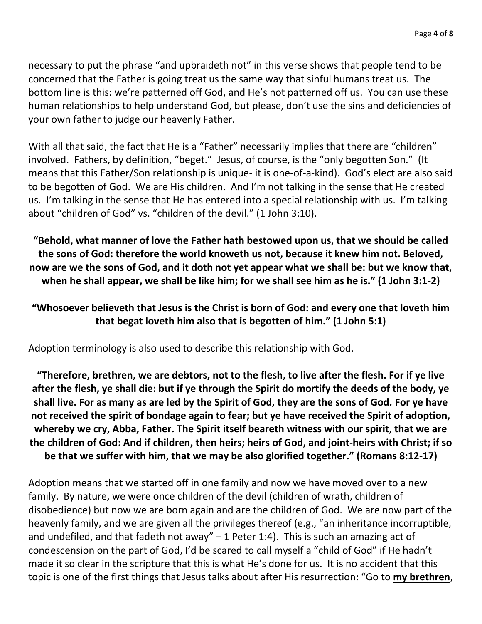necessary to put the phrase "and upbraideth not" in this verse shows that people tend to be concerned that the Father is going treat us the same way that sinful humans treat us. The bottom line is this: we're patterned off God, and He's not patterned off us. You can use these human relationships to help understand God, but please, don't use the sins and deficiencies of your own father to judge our heavenly Father.

With all that said, the fact that He is a "Father" necessarily implies that there are "children" involved. Fathers, by definition, "beget." Jesus, of course, is the "only begotten Son." (It means that this Father/Son relationship is unique- it is one-of-a-kind). God's elect are also said to be begotten of God. We are His children. And I'm not talking in the sense that He created us. I'm talking in the sense that He has entered into a special relationship with us. I'm talking about "children of God" vs. "children of the devil." (1 John 3:10).

**"Behold, what manner of love the Father hath bestowed upon us, that we should be called the sons of God: therefore the world knoweth us not, because it knew him not. Beloved, now are we the sons of God, and it doth not yet appear what we shall be: but we know that, when he shall appear, we shall be like him; for we shall see him as he is." (1 John 3:1-2)**

### **"Whosoever believeth that Jesus is the Christ is born of God: and every one that loveth him that begat loveth him also that is begotten of him." (1 John 5:1)**

Adoption terminology is also used to describe this relationship with God.

**"Therefore, brethren, we are debtors, not to the flesh, to live after the flesh. For if ye live after the flesh, ye shall die: but if ye through the Spirit do mortify the deeds of the body, ye shall live. For as many as are led by the Spirit of God, they are the sons of God. For ye have not received the spirit of bondage again to fear; but ye have received the Spirit of adoption, whereby we cry, Abba, Father. The Spirit itself beareth witness with our spirit, that we are the children of God: And if children, then heirs; heirs of God, and joint-heirs with Christ; if so be that we suffer with him, that we may be also glorified together." (Romans 8:12-17)**

Adoption means that we started off in one family and now we have moved over to a new family. By nature, we were once children of the devil (children of wrath, children of disobedience) but now we are born again and are the children of God. We are now part of the heavenly family, and we are given all the privileges thereof (e.g., "an inheritance incorruptible, and undefiled, and that fadeth not away"  $-1$  Peter 1:4). This is such an amazing act of condescension on the part of God, I'd be scared to call myself a "child of God" if He hadn't made it so clear in the scripture that this is what He's done for us. It is no accident that this topic is one of the first things that Jesus talks about after His resurrection: "Go to **my brethren**,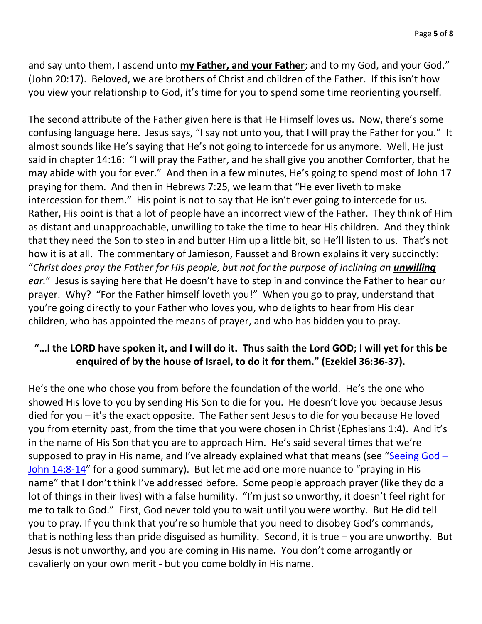and say unto them, I ascend unto **my Father, and your Father**; and to my God, and your God." (John 20:17). Beloved, we are brothers of Christ and children of the Father. If this isn't how you view your relationship to God, it's time for you to spend some time reorienting yourself.

The second attribute of the Father given here is that He Himself loves us. Now, there's some confusing language here. Jesus says, "I say not unto you, that I will pray the Father for you." It almost sounds like He's saying that He's not going to intercede for us anymore. Well, He just said in chapter 14:16: "I will pray the Father, and he shall give you another Comforter, that he may abide with you for ever." And then in a few minutes, He's going to spend most of John 17 praying for them. And then in Hebrews 7:25, we learn that "He ever liveth to make intercession for them." His point is not to say that He isn't ever going to intercede for us. Rather, His point is that a lot of people have an incorrect view of the Father. They think of Him as distant and unapproachable, unwilling to take the time to hear His children. And they think that they need the Son to step in and butter Him up a little bit, so He'll listen to us. That's not how it is at all. The commentary of Jamieson, Fausset and Brown explains it very succinctly: "Christ does pray the Father for His people, but not for the purpose of inclining an **unwilling** *ear.*" Jesus is saying here that He doesn't have to step in and convince the Father to hear our prayer. Why? "For the Father himself loveth you!" When you go to pray, understand that you're going directly to your Father who loves you, who delights to hear from His dear children, who has appointed the means of prayer, and who has bidden you to pray.

### **"…I the LORD have spoken it, and I will do it. Thus saith the Lord GOD; I will yet for this be enquired of by the house of Israel, to do it for them." (Ezekiel 36:36-37).**

He's the one who chose you from before the foundation of the world. He's the one who showed His love to you by sending His Son to die for you. He doesn't love you because Jesus died for you – it's the exact opposite. The Father sent Jesus to die for you because He loved you from eternity past, from the time that you were chosen in Christ (Ephesians 1:4). And it's in the name of His Son that you are to approach Him. He's said several times that we're supposed to pray in His name, and I've already explained what that means (see "[Seeing God](https://www.godhatesfags.com/sermons/outlines/Sermon_20210509_Ben_farewell-discourse-part-7-seeing-God.pdf)  $-$ [John 14:8-14](https://www.godhatesfags.com/sermons/outlines/Sermon_20210509_Ben_farewell-discourse-part-7-seeing-God.pdf)" for a good summary). But let me add one more nuance to "praying in His name" that I don't think I've addressed before. Some people approach prayer (like they do a lot of things in their lives) with a false humility. "I'm just so unworthy, it doesn't feel right for me to talk to God." First, God never told you to wait until you were worthy. But He did tell you to pray. If you think that you're so humble that you need to disobey God's commands, that is nothing less than pride disguised as humility. Second, it is true – you are unworthy. But Jesus is not unworthy, and you are coming in His name. You don't come arrogantly or cavalierly on your own merit - but you come boldly in His name.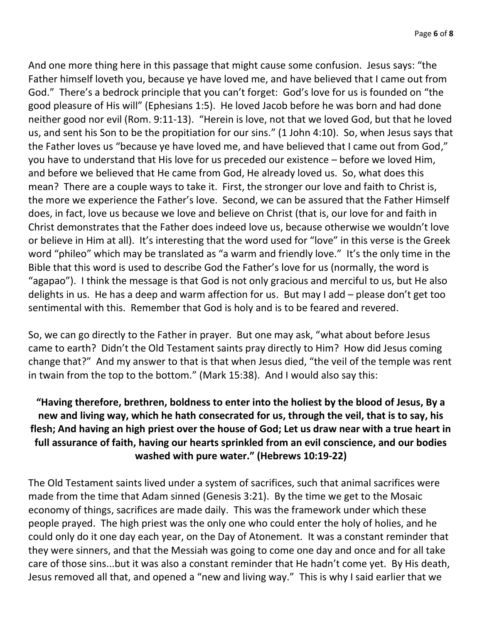And one more thing here in this passage that might cause some confusion. Jesus says: "the Father himself loveth you, because ye have loved me, and have believed that I came out from God." There's a bedrock principle that you can't forget: God's love for us is founded on "the good pleasure of His will" (Ephesians 1:5). He loved Jacob before he was born and had done neither good nor evil (Rom. 9:11-13). "Herein is love, not that we loved God, but that he loved us, and sent his Son to be the propitiation for our sins." (1 John 4:10). So, when Jesus says that the Father loves us "because ye have loved me, and have believed that I came out from God," you have to understand that His love for us preceded our existence – before we loved Him, and before we believed that He came from God, He already loved us. So, what does this mean? There are a couple ways to take it. First, the stronger our love and faith to Christ is, the more we experience the Father's love. Second, we can be assured that the Father Himself does, in fact, love us because we love and believe on Christ (that is, our love for and faith in Christ demonstrates that the Father does indeed love us, because otherwise we wouldn't love or believe in Him at all). It's interesting that the word used for "love" in this verse is the Greek word "phileo" which may be translated as "a warm and friendly love." It's the only time in the Bible that this word is used to describe God the Father's love for us (normally, the word is "agapao"). I think the message is that God is not only gracious and merciful to us, but He also delights in us. He has a deep and warm affection for us. But may I add – please don't get too sentimental with this. Remember that God is holy and is to be feared and revered.

So, we can go directly to the Father in prayer. But one may ask, "what about before Jesus came to earth? Didn't the Old Testament saints pray directly to Him? How did Jesus coming change that?" And my answer to that is that when Jesus died, "the veil of the temple was rent in twain from the top to the bottom." (Mark 15:38). And I would also say this:

# **"Having therefore, brethren, boldness to enter into the holiest by the blood of Jesus, By a new and living way, which he hath consecrated for us, through the veil, that is to say, his flesh; And having an high priest over the house of God; Let us draw near with a true heart in full assurance of faith, having our hearts sprinkled from an evil conscience, and our bodies washed with pure water." (Hebrews 10:19-22)**

The Old Testament saints lived under a system of sacrifices, such that animal sacrifices were made from the time that Adam sinned (Genesis 3:21). By the time we get to the Mosaic economy of things, sacrifices are made daily. This was the framework under which these people prayed. The high priest was the only one who could enter the holy of holies, and he could only do it one day each year, on the Day of Atonement. It was a constant reminder that they were sinners, and that the Messiah was going to come one day and once and for all take care of those sins...but it was also a constant reminder that He hadn't come yet. By His death, Jesus removed all that, and opened a "new and living way." This is why I said earlier that we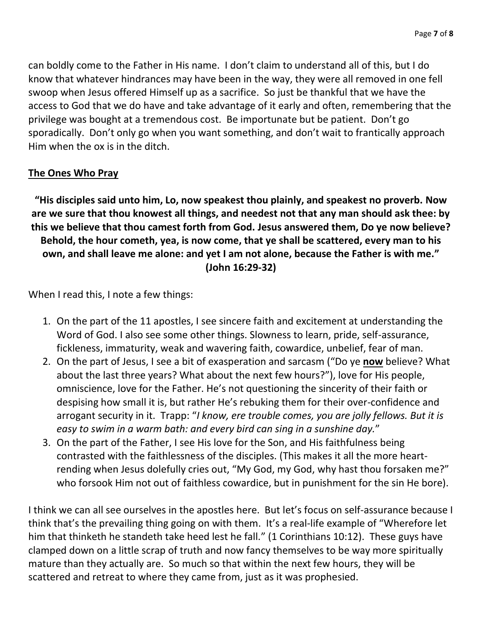can boldly come to the Father in His name. I don't claim to understand all of this, but I do know that whatever hindrances may have been in the way, they were all removed in one fell swoop when Jesus offered Himself up as a sacrifice. So just be thankful that we have the access to God that we do have and take advantage of it early and often, remembering that the privilege was bought at a tremendous cost. Be importunate but be patient. Don't go sporadically. Don't only go when you want something, and don't wait to frantically approach Him when the ox is in the ditch.

### **The Ones Who Pray**

**"His disciples said unto him, Lo, now speakest thou plainly, and speakest no proverb. Now are we sure that thou knowest all things, and needest not that any man should ask thee: by this we believe that thou camest forth from God. Jesus answered them, Do ye now believe? Behold, the hour cometh, yea, is now come, that ye shall be scattered, every man to his own, and shall leave me alone: and yet I am not alone, because the Father is with me." (John 16:29-32)**

When I read this, I note a few things:

- 1. On the part of the 11 apostles, I see sincere faith and excitement at understanding the Word of God. I also see some other things. Slowness to learn, pride, self-assurance, fickleness, immaturity, weak and wavering faith, cowardice, unbelief, fear of man.
- 2. On the part of Jesus, I see a bit of exasperation and sarcasm ("Do ye **now** believe? What about the last three years? What about the next few hours?"), love for His people, omniscience, love for the Father. He's not questioning the sincerity of their faith or despising how small it is, but rather He's rebuking them for their over-confidence and arrogant security in it. Trapp: "*I know, ere trouble comes, you are jolly fellows. But it is easy to swim in a warm bath: and every bird can sing in a sunshine day.*"
- 3. On the part of the Father, I see His love for the Son, and His faithfulness being contrasted with the faithlessness of the disciples. (This makes it all the more heartrending when Jesus dolefully cries out, "My God, my God, why hast thou forsaken me?" who forsook Him not out of faithless cowardice, but in punishment for the sin He bore).

I think we can all see ourselves in the apostles here. But let's focus on self-assurance because I think that's the prevailing thing going on with them. It's a real-life example of "Wherefore let him that thinketh he standeth take heed lest he fall." (1 Corinthians 10:12). These guys have clamped down on a little scrap of truth and now fancy themselves to be way more spiritually mature than they actually are. So much so that within the next few hours, they will be scattered and retreat to where they came from, just as it was prophesied.